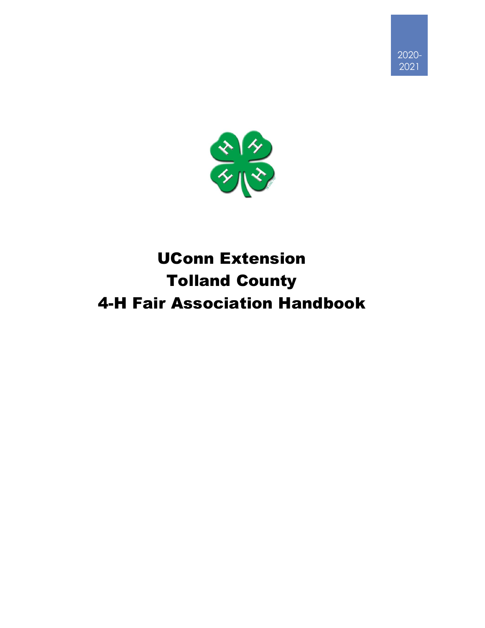



# UConn Extension Tolland County 4-H Fair Association Handbook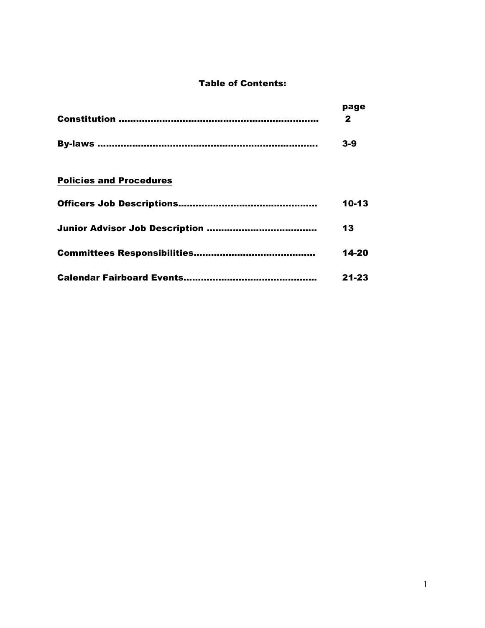## Table of Contents:

| page<br>o |
|-----------|
| $3-9$     |
|           |

# Policies and Procedures

| 10-13     |
|-----------|
| 13        |
| 14-20     |
| $21 - 23$ |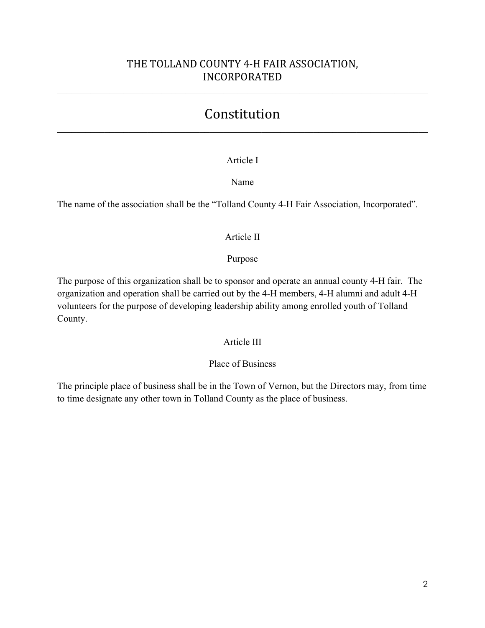# THE TOLLAND COUNTY 4-H FAIR ASSOCIATION, INCORPORATED

 $\_$  , and the contribution of the contribution of the contribution of the contribution of  $\mathcal{L}_\text{max}$ 

# Constitution  $\_$  , and the contribution of the contribution of the contribution of the contribution of  $\mathcal{L}_\text{max}$

## Article I

## Name

The name of the association shall be the "Tolland County 4-H Fair Association, Incorporated".

## Article II

## Purpose

The purpose of this organization shall be to sponsor and operate an annual county 4-H fair. The organization and operation shall be carried out by the 4-H members, 4-H alumni and adult 4-H volunteers for the purpose of developing leadership ability among enrolled youth of Tolland County.

## Article III

## Place of Business

The principle place of business shall be in the Town of Vernon, but the Directors may, from time to time designate any other town in Tolland County as the place of business.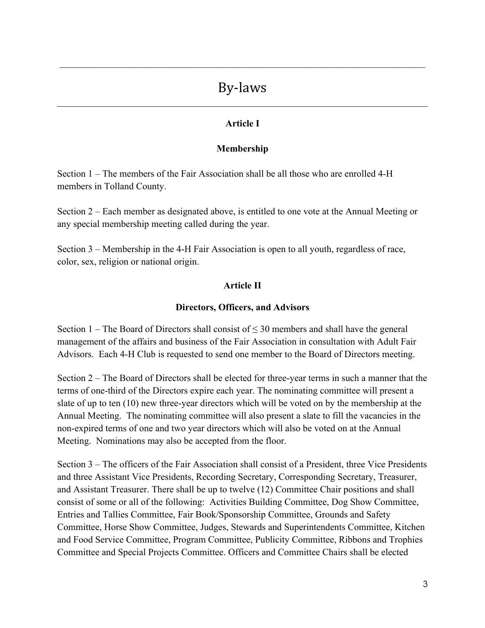# By-laws  $\_$  , and the contribution of the contribution of the contribution of the contribution of  $\mathcal{L}_\text{max}$

 $\_$  , and the contribution of the contribution of the contribution of the contribution of  $\mathcal{L}_\text{max}$ 

## **Article I**

## **Membership**

Section 1 – The members of the Fair Association shall be all those who are enrolled 4-H members in Tolland County.

Section 2 – Each member as designated above, is entitled to one vote at the Annual Meeting or any special membership meeting called during the year.

Section 3 – Membership in the 4-H Fair Association is open to all youth, regardless of race, color, sex, religion or national origin.

## **Article II**

## **Directors, Officers, and Advisors**

Section 1 – The Board of Directors shall consist of  $\leq$  30 members and shall have the general management of the affairs and business of the Fair Association in consultation with Adult Fair Advisors. Each 4-H Club is requested to send one member to the Board of Directors meeting.

Section 2 – The Board of Directors shall be elected for three-year terms in such a manner that the terms of one-third of the Directors expire each year. The nominating committee will present a slate of up to ten (10) new three-year directors which will be voted on by the membership at the Annual Meeting. The nominating committee will also present a slate to fill the vacancies in the non-expired terms of one and two year directors which will also be voted on at the Annual Meeting. Nominations may also be accepted from the floor.

Section 3 – The officers of the Fair Association shall consist of a President, three Vice Presidents and three Assistant Vice Presidents, Recording Secretary, Corresponding Secretary, Treasurer, and Assistant Treasurer. There shall be up to twelve (12) Committee Chair positions and shall consist of some or all of the following: Activities Building Committee, Dog Show Committee, Entries and Tallies Committee, Fair Book/Sponsorship Committee, Grounds and Safety Committee, Horse Show Committee, Judges, Stewards and Superintendents Committee, Kitchen and Food Service Committee, Program Committee, Publicity Committee, Ribbons and Trophies Committee and Special Projects Committee. Officers and Committee Chairs shall be elected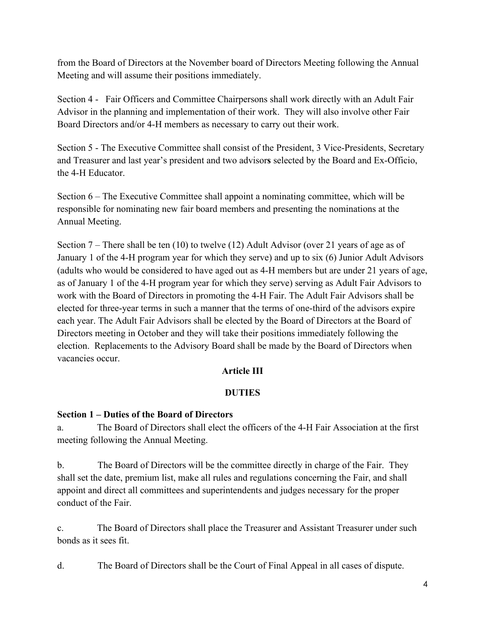from the Board of Directors at the November board of Directors Meeting following the Annual Meeting and will assume their positions immediately.

Section 4 - Fair Officers and Committee Chairpersons shall work directly with an Adult Fair Advisor in the planning and implementation of their work. They will also involve other Fair Board Directors and/or 4-H members as necessary to carry out their work.

Section 5 - The Executive Committee shall consist of the President, 3 Vice-Presidents, Secretary and Treasurer and last year's president and two advisor**s** selected by the Board and Ex-Officio, the 4-H Educator.

Section 6 – The Executive Committee shall appoint a nominating committee, which will be responsible for nominating new fair board members and presenting the nominations at the Annual Meeting.

Section 7 – There shall be ten (10) to twelve (12) Adult Advisor (over 21 years of age as of January 1 of the 4-H program year for which they serve) and up to six (6) Junior Adult Advisors (adults who would be considered to have aged out as 4-H members but are under 21 years of age, as of January 1 of the 4-H program year for which they serve) serving as Adult Fair Advisors to work with the Board of Directors in promoting the 4-H Fair. The Adult Fair Advisors shall be elected for three-year terms in such a manner that the terms of one-third of the advisors expire each year. The Adult Fair Advisors shall be elected by the Board of Directors at the Board of Directors meeting in October and they will take their positions immediately following the election. Replacements to the Advisory Board shall be made by the Board of Directors when vacancies occur.

## **Article III**

## **DUTIES**

## **Section 1 – Duties of the Board of Directors**

a. The Board of Directors shall elect the officers of the 4-H Fair Association at the first meeting following the Annual Meeting.

b. The Board of Directors will be the committee directly in charge of the Fair. They shall set the date, premium list, make all rules and regulations concerning the Fair, and shall appoint and direct all committees and superintendents and judges necessary for the proper conduct of the Fair.

c. The Board of Directors shall place the Treasurer and Assistant Treasurer under such bonds as it sees fit.

d. The Board of Directors shall be the Court of Final Appeal in all cases of dispute.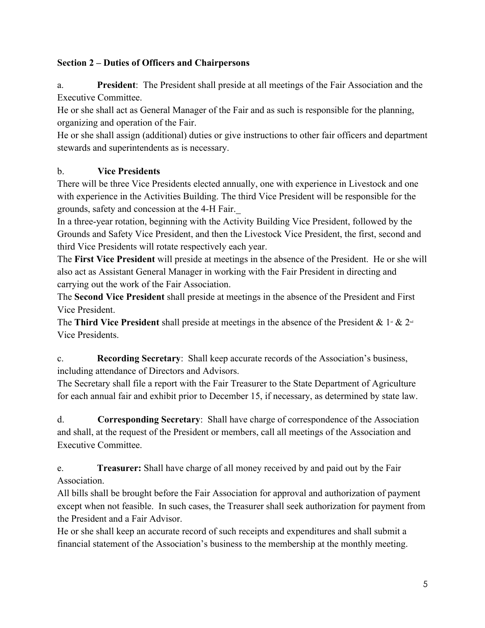## **Section 2 – Duties of Officers and Chairpersons**

a. **President**: The President shall preside at all meetings of the Fair Association and the Executive Committee.

He or she shall act as General Manager of the Fair and as such is responsible for the planning, organizing and operation of the Fair.

He or she shall assign (additional) duties or give instructions to other fair officers and department stewards and superintendents as is necessary.

# b. **Vice Presidents**

There will be three Vice Presidents elected annually, one with experience in Livestock and one with experience in the Activities Building. The third Vice President will be responsible for the grounds, safety and concession at the 4-H Fair.

In a three-year rotation, beginning with the Activity Building Vice President, followed by the Grounds and Safety Vice President, and then the Livestock Vice President, the first, second and third Vice Presidents will rotate respectively each year.

The **First Vice President** will preside at meetings in the absence of the President. He or she will also act as Assistant General Manager in working with the Fair President in directing and carrying out the work of the Fair Association.

The **Second Vice President** shall preside at meetings in the absence of the President and First Vice President.

The **Third Vice President** shall preside at meetings in the absence of the President &  $1 \times 2^{nd}$ Vice Presidents.

c. **Recording Secretary**: Shall keep accurate records of the Association's business, including attendance of Directors and Advisors.

The Secretary shall file a report with the Fair Treasurer to the State Department of Agriculture for each annual fair and exhibit prior to December 15, if necessary, as determined by state law.

d. **Corresponding Secretary**: Shall have charge of correspondence of the Association and shall, at the request of the President or members, call all meetings of the Association and Executive Committee.

e. **Treasurer:** Shall have charge of all money received by and paid out by the Fair Association.

All bills shall be brought before the Fair Association for approval and authorization of payment except when not feasible. In such cases, the Treasurer shall seek authorization for payment from the President and a Fair Advisor.

He or she shall keep an accurate record of such receipts and expenditures and shall submit a financial statement of the Association's business to the membership at the monthly meeting.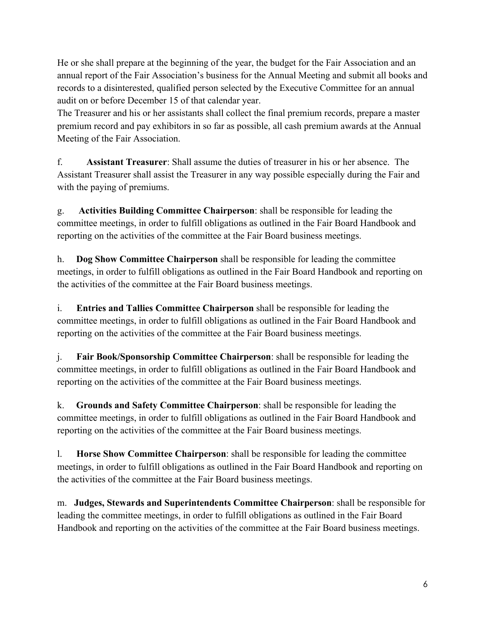He or she shall prepare at the beginning of the year, the budget for the Fair Association and an annual report of the Fair Association's business for the Annual Meeting and submit all books and records to a disinterested, qualified person selected by the Executive Committee for an annual audit on or before December 15 of that calendar year.

The Treasurer and his or her assistants shall collect the final premium records, prepare a master premium record and pay exhibitors in so far as possible, all cash premium awards at the Annual Meeting of the Fair Association.

f. **Assistant Treasurer**: Shall assume the duties of treasurer in his or her absence. The Assistant Treasurer shall assist the Treasurer in any way possible especially during the Fair and with the paying of premiums.

g. **Activities Building Committee Chairperson**: shall be responsible for leading the committee meetings, in order to fulfill obligations as outlined in the Fair Board Handbook and reporting on the activities of the committee at the Fair Board business meetings.

h. **Dog Show Committee Chairperson** shall be responsible for leading the committee meetings, in order to fulfill obligations as outlined in the Fair Board Handbook and reporting on the activities of the committee at the Fair Board business meetings.

i. **Entries and Tallies Committee Chairperson** shall be responsible for leading the committee meetings, in order to fulfill obligations as outlined in the Fair Board Handbook and reporting on the activities of the committee at the Fair Board business meetings.

j. **Fair Book/Sponsorship Committee Chairperson**: shall be responsible for leading the committee meetings, in order to fulfill obligations as outlined in the Fair Board Handbook and reporting on the activities of the committee at the Fair Board business meetings.

k. **Grounds and Safety Committee Chairperson**: shall be responsible for leading the committee meetings, in order to fulfill obligations as outlined in the Fair Board Handbook and reporting on the activities of the committee at the Fair Board business meetings.

l. **Horse Show Committee Chairperson**: shall be responsible for leading the committee meetings, in order to fulfill obligations as outlined in the Fair Board Handbook and reporting on the activities of the committee at the Fair Board business meetings.

m. **Judges, Stewards and Superintendents Committee Chairperson**: shall be responsible for leading the committee meetings, in order to fulfill obligations as outlined in the Fair Board Handbook and reporting on the activities of the committee at the Fair Board business meetings.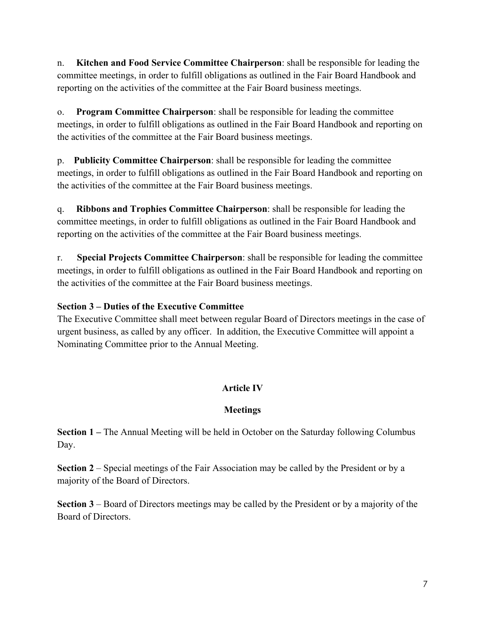n. **Kitchen and Food Service Committee Chairperson**: shall be responsible for leading the committee meetings, in order to fulfill obligations as outlined in the Fair Board Handbook and reporting on the activities of the committee at the Fair Board business meetings.

o. **Program Committee Chairperson**: shall be responsible for leading the committee meetings, in order to fulfill obligations as outlined in the Fair Board Handbook and reporting on the activities of the committee at the Fair Board business meetings.

p. **Publicity Committee Chairperson**: shall be responsible for leading the committee meetings, in order to fulfill obligations as outlined in the Fair Board Handbook and reporting on the activities of the committee at the Fair Board business meetings.

q. **Ribbons and Trophies Committee Chairperson**: shall be responsible for leading the committee meetings, in order to fulfill obligations as outlined in the Fair Board Handbook and reporting on the activities of the committee at the Fair Board business meetings.

r. **Special Projects Committee Chairperson**: shall be responsible for leading the committee meetings, in order to fulfill obligations as outlined in the Fair Board Handbook and reporting on the activities of the committee at the Fair Board business meetings.

# **Section 3 – Duties of the Executive Committee**

The Executive Committee shall meet between regular Board of Directors meetings in the case of urgent business, as called by any officer. In addition, the Executive Committee will appoint a Nominating Committee prior to the Annual Meeting.

# **Article IV**

# **Meetings**

**Section 1 –** The Annual Meeting will be held in October on the Saturday following Columbus Day.

**Section 2** – Special meetings of the Fair Association may be called by the President or by a majority of the Board of Directors.

**Section 3** – Board of Directors meetings may be called by the President or by a majority of the Board of Directors.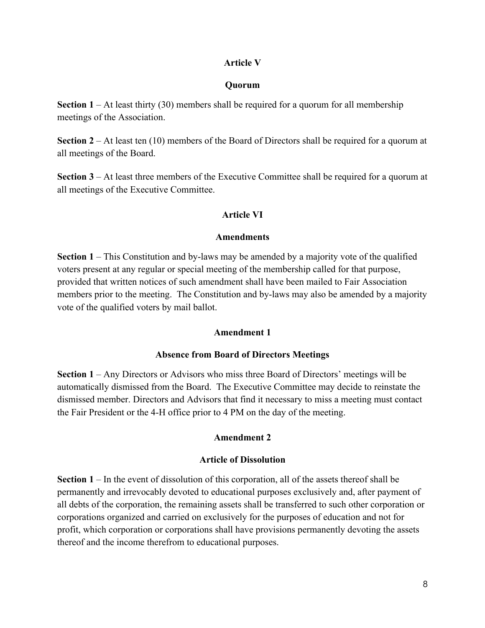## **Article V**

#### **Quorum**

**Section 1** – At least thirty (30) members shall be required for a quorum for all membership meetings of the Association.

**Section 2** – At least ten (10) members of the Board of Directors shall be required for a quorum at all meetings of the Board.

**Section 3** – At least three members of the Executive Committee shall be required for a quorum at all meetings of the Executive Committee.

#### **Article VI**

#### **Amendments**

**Section 1** – This Constitution and by-laws may be amended by a majority vote of the qualified voters present at any regular or special meeting of the membership called for that purpose, provided that written notices of such amendment shall have been mailed to Fair Association members prior to the meeting. The Constitution and by-laws may also be amended by a majority vote of the qualified voters by mail ballot.

#### **Amendment 1**

#### **Absence from Board of Directors Meetings**

**Section 1** – Any Directors or Advisors who miss three Board of Directors' meetings will be automatically dismissed from the Board. The Executive Committee may decide to reinstate the dismissed member. Directors and Advisors that find it necessary to miss a meeting must contact the Fair President or the 4-H office prior to 4 PM on the day of the meeting.

#### **Amendment 2**

#### **Article of Dissolution**

**Section 1** – In the event of dissolution of this corporation, all of the assets thereof shall be permanently and irrevocably devoted to educational purposes exclusively and, after payment of all debts of the corporation, the remaining assets shall be transferred to such other corporation or corporations organized and carried on exclusively for the purposes of education and not for profit, which corporation or corporations shall have provisions permanently devoting the assets thereof and the income therefrom to educational purposes.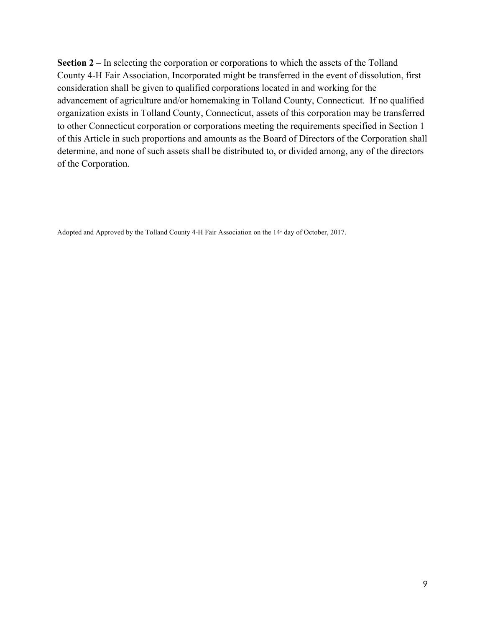**Section 2** – In selecting the corporation or corporations to which the assets of the Tolland County 4-H Fair Association, Incorporated might be transferred in the event of dissolution, first consideration shall be given to qualified corporations located in and working for the advancement of agriculture and/or homemaking in Tolland County, Connecticut. If no qualified organization exists in Tolland County, Connecticut, assets of this corporation may be transferred to other Connecticut corporation or corporations meeting the requirements specified in Section 1 of this Article in such proportions and amounts as the Board of Directors of the Corporation shall determine, and none of such assets shall be distributed to, or divided among, any of the directors of the Corporation.

Adopted and Approved by the Tolland County 4-H Fair Association on the 14<sup>th</sup> day of October, 2017.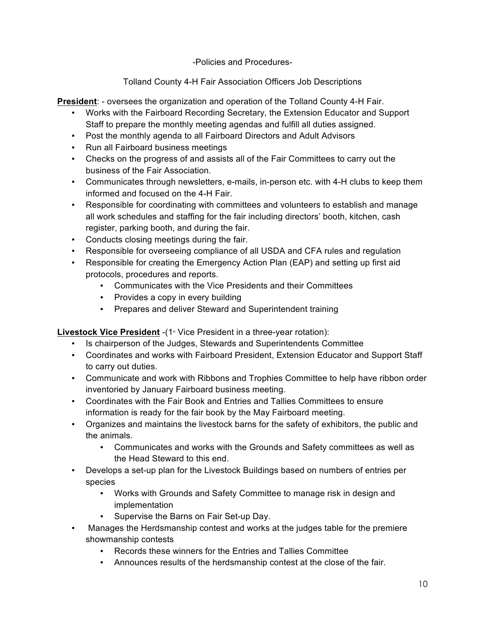-Policies and Procedures-

Tolland County 4-H Fair Association Officers Job Descriptions

**President**: - oversees the organization and operation of the Tolland County 4-H Fair.

- Works with the Fairboard Recording Secretary, the Extension Educator and Support Staff to prepare the monthly meeting agendas and fulfill all duties assigned.
- Post the monthly agenda to all Fairboard Directors and Adult Advisors
- Run all Fairboard business meetings
- Checks on the progress of and assists all of the Fair Committees to carry out the business of the Fair Association.
- Communicates through newsletters, e-mails, in-person etc. with 4-H clubs to keep them informed and focused on the 4-H Fair.
- Responsible for coordinating with committees and volunteers to establish and manage all work schedules and staffing for the fair including directors' booth, kitchen, cash register, parking booth, and during the fair.
- Conducts closing meetings during the fair.
- Responsible for overseeing compliance of all USDA and CFA rules and regulation
- Responsible for creating the Emergency Action Plan (EAP) and setting up first aid protocols, procedures and reports.
	- Communicates with the Vice Presidents and their Committees
	- Provides a copy in every building
	- Prepares and deliver Steward and Superintendent training

**Livestock Vice President** -(1<sup>st</sup> Vice President in a three-year rotation):

- Is chairperson of the Judges, Stewards and Superintendents Committee
- Coordinates and works with Fairboard President, Extension Educator and Support Staff to carry out duties.
- Communicate and work with Ribbons and Trophies Committee to help have ribbon order inventoried by January Fairboard business meeting.
- Coordinates with the Fair Book and Entries and Tallies Committees to ensure information is ready for the fair book by the May Fairboard meeting.
- Organizes and maintains the livestock barns for the safety of exhibitors, the public and the animals.
	- Communicates and works with the Grounds and Safety committees as well as the Head Steward to this end.
- Develops a set-up plan for the Livestock Buildings based on numbers of entries per species
	- Works with Grounds and Safety Committee to manage risk in design and implementation
	- Supervise the Barns on Fair Set-up Day.
- Manages the Herdsmanship contest and works at the judges table for the premiere showmanship contests
	- Records these winners for the Entries and Tallies Committee
	- Announces results of the herdsmanship contest at the close of the fair.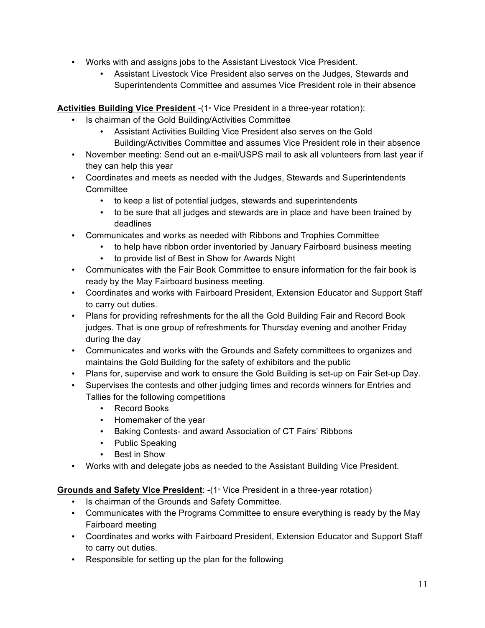- Works with and assigns jobs to the Assistant Livestock Vice President.
	- Assistant Livestock Vice President also serves on the Judges, Stewards and Superintendents Committee and assumes Vice President role in their absence

**Activities Building Vice President -(1<sup>st</sup> Vice President in a three-year rotation):** 

- Is chairman of the Gold Building/Activities Committee
	- Assistant Activities Building Vice President also serves on the Gold Building/Activities Committee and assumes Vice President role in their absence
- November meeting: Send out an e-mail/USPS mail to ask all volunteers from last year if they can help this year
- Coordinates and meets as needed with the Judges, Stewards and Superintendents **Committee** 
	- to keep a list of potential judges, stewards and superintendents
	- to be sure that all judges and stewards are in place and have been trained by deadlines
- Communicates and works as needed with Ribbons and Trophies Committee
	- to help have ribbon order inventoried by January Fairboard business meeting
		- to provide list of Best in Show for Awards Night
- Communicates with the Fair Book Committee to ensure information for the fair book is ready by the May Fairboard business meeting.
- Coordinates and works with Fairboard President, Extension Educator and Support Staff to carry out duties.
- Plans for providing refreshments for the all the Gold Building Fair and Record Book judges. That is one group of refreshments for Thursday evening and another Friday during the day
- Communicates and works with the Grounds and Safety committees to organizes and maintains the Gold Building for the safety of exhibitors and the public
- Plans for, supervise and work to ensure the Gold Building is set-up on Fair Set-up Day.
- Supervises the contests and other judging times and records winners for Entries and Tallies for the following competitions
	- Record Books
	- Homemaker of the year
	- Baking Contests- and award Association of CT Fairs' Ribbons
	- Public Speaking
	- Best in Show
- Works with and delegate jobs as needed to the Assistant Building Vice President.

## **Grounds and Safety Vice President**: -(1<sup>st</sup> Vice President in a three-year rotation)

- Is chairman of the Grounds and Safety Committee.
- Communicates with the Programs Committee to ensure everything is ready by the May Fairboard meeting
- Coordinates and works with Fairboard President, Extension Educator and Support Staff to carry out duties.
- Responsible for setting up the plan for the following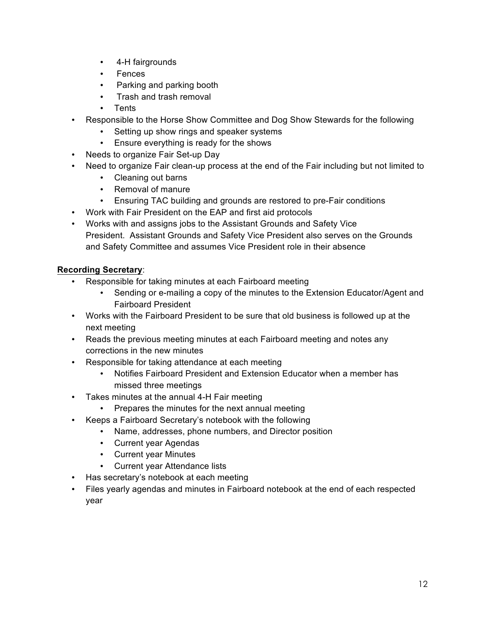- 4-H fairgrounds
- Fences
- Parking and parking booth
- Trash and trash removal
- Tents
- Responsible to the Horse Show Committee and Dog Show Stewards for the following
	- Setting up show rings and speaker systems
	- Ensure everything is ready for the shows
- Needs to organize Fair Set-up Day
- Need to organize Fair clean-up process at the end of the Fair including but not limited to
	- Cleaning out barns
	- Removal of manure
	- Ensuring TAC building and grounds are restored to pre-Fair conditions
- Work with Fair President on the EAP and first aid protocols
- Works with and assigns jobs to the Assistant Grounds and Safety Vice President. Assistant Grounds and Safety Vice President also serves on the Grounds and Safety Committee and assumes Vice President role in their absence

## **Recording Secretary**:

- Responsible for taking minutes at each Fairboard meeting
	- Sending or e-mailing a copy of the minutes to the Extension Educator/Agent and Fairboard President
- Works with the Fairboard President to be sure that old business is followed up at the next meeting
- Reads the previous meeting minutes at each Fairboard meeting and notes any corrections in the new minutes
- Responsible for taking attendance at each meeting
	- Notifies Fairboard President and Extension Educator when a member has missed three meetings
- Takes minutes at the annual 4-H Fair meeting
	- Prepares the minutes for the next annual meeting
- Keeps a Fairboard Secretary's notebook with the following
	- Name, addresses, phone numbers, and Director position
	- Current year Agendas
	- Current year Minutes
	- Current year Attendance lists
- Has secretary's notebook at each meeting
- Files yearly agendas and minutes in Fairboard notebook at the end of each respected year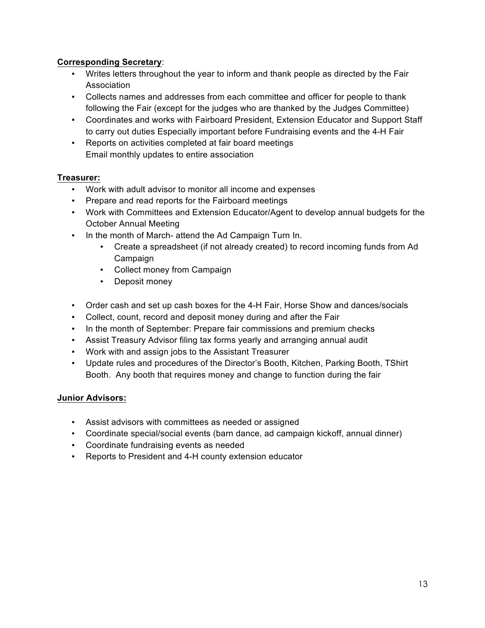## **Corresponding Secretary**:

- Writes letters throughout the year to inform and thank people as directed by the Fair Association
- Collects names and addresses from each committee and officer for people to thank following the Fair (except for the judges who are thanked by the Judges Committee)
- Coordinates and works with Fairboard President, Extension Educator and Support Staff to carry out duties Especially important before Fundraising events and the 4-H Fair
- Reports on activities completed at fair board meetings Email monthly updates to entire association

## **Treasurer:**

- Work with adult advisor to monitor all income and expenses
- Prepare and read reports for the Fairboard meetings
- Work with Committees and Extension Educator/Agent to develop annual budgets for the October Annual Meeting
- In the month of March- attend the Ad Campaign Turn In.
	- Create a spreadsheet (if not already created) to record incoming funds from Ad Campaign
	- Collect money from Campaign
	- Deposit money
- Order cash and set up cash boxes for the 4-H Fair, Horse Show and dances/socials
- Collect, count, record and deposit money during and after the Fair
- In the month of September: Prepare fair commissions and premium checks
- Assist Treasury Advisor filing tax forms yearly and arranging annual audit
- Work with and assign jobs to the Assistant Treasurer
- Update rules and procedures of the Director's Booth, Kitchen, Parking Booth, TShirt Booth. Any booth that requires money and change to function during the fair

## **Junior Advisors:**

- Assist advisors with committees as needed or assigned
- Coordinate special/social events (barn dance, ad campaign kickoff, annual dinner)
- Coordinate fundraising events as needed
- Reports to President and 4-H county extension educator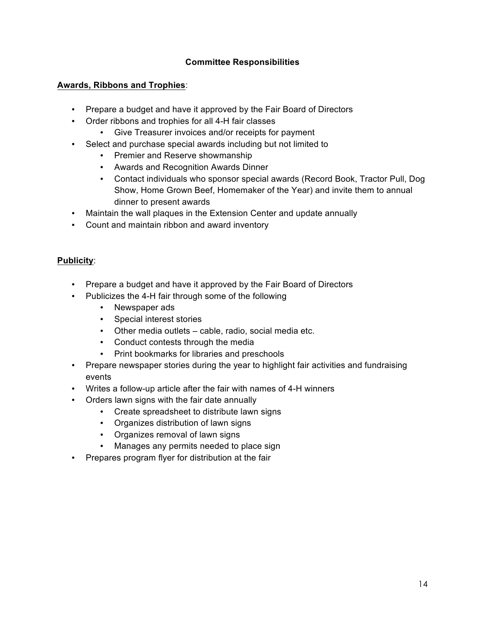## **Committee Responsibilities**

#### **Awards, Ribbons and Trophies**:

- Prepare a budget and have it approved by the Fair Board of Directors
- Order ribbons and trophies for all 4-H fair classes
	- Give Treasurer invoices and/or receipts for payment
- Select and purchase special awards including but not limited to
	- Premier and Reserve showmanship
	- Awards and Recognition Awards Dinner
	- Contact individuals who sponsor special awards (Record Book, Tractor Pull, Dog Show, Home Grown Beef, Homemaker of the Year) and invite them to annual dinner to present awards
- Maintain the wall plaques in the Extension Center and update annually
- Count and maintain ribbon and award inventory

#### **Publicity**:

- Prepare a budget and have it approved by the Fair Board of Directors
- Publicizes the 4-H fair through some of the following
	- Newspaper ads
	- Special interest stories
	- Other media outlets cable, radio, social media etc.
	- Conduct contests through the media
	- Print bookmarks for libraries and preschools
- Prepare newspaper stories during the year to highlight fair activities and fundraising events
- Writes a follow-up article after the fair with names of 4-H winners
- Orders lawn signs with the fair date annually
	- Create spreadsheet to distribute lawn signs
	- Organizes distribution of lawn signs
	- Organizes removal of lawn signs
	- Manages any permits needed to place sign
- Prepares program flyer for distribution at the fair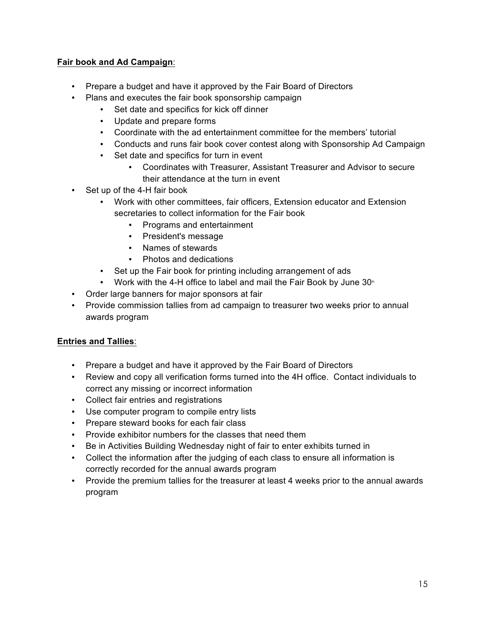## **Fair book and Ad Campaign**:

- Prepare a budget and have it approved by the Fair Board of Directors
- Plans and executes the fair book sponsorship campaign
	- Set date and specifics for kick off dinner
	- Update and prepare forms
	- Coordinate with the ad entertainment committee for the members' tutorial
	- Conducts and runs fair book cover contest along with Sponsorship Ad Campaign
	- Set date and specifics for turn in event
		- Coordinates with Treasurer, Assistant Treasurer and Advisor to secure their attendance at the turn in event
- Set up of the 4-H fair book
	- Work with other committees, fair officers, Extension educator and Extension secretaries to collect information for the Fair book
		- Programs and entertainment
		- President's message
		- Names of stewards
		- Photos and dedications
	- Set up the Fair book for printing including arrangement of ads
	- Work with the 4-H office to label and mail the Fair Book by June  $30<sup>th</sup>$
- Order large banners for major sponsors at fair
- Provide commission tallies from ad campaign to treasurer two weeks prior to annual awards program

## **Entries and Tallies**:

- Prepare a budget and have it approved by the Fair Board of Directors
- Review and copy all verification forms turned into the 4H office. Contact individuals to correct any missing or incorrect information
- Collect fair entries and registrations
- Use computer program to compile entry lists
- Prepare steward books for each fair class
- Provide exhibitor numbers for the classes that need them
- Be in Activities Building Wednesday night of fair to enter exhibits turned in
- Collect the information after the judging of each class to ensure all information is correctly recorded for the annual awards program
- Provide the premium tallies for the treasurer at least 4 weeks prior to the annual awards program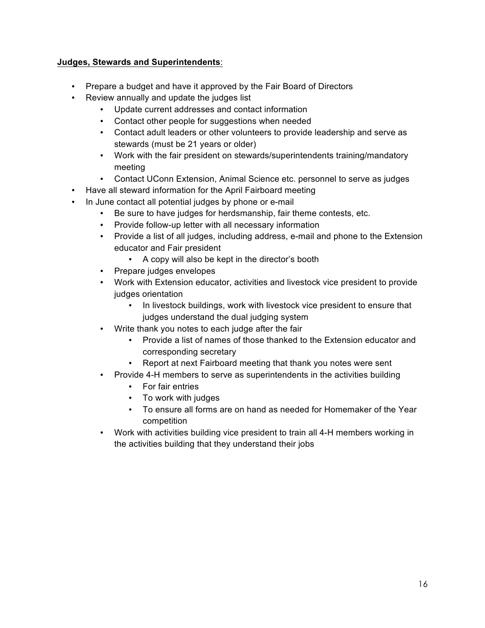#### **Judges, Stewards and Superintendents**:

- Prepare a budget and have it approved by the Fair Board of Directors
- Review annually and update the judges list
	- Update current addresses and contact information
	- Contact other people for suggestions when needed
	- Contact adult leaders or other volunteers to provide leadership and serve as stewards (must be 21 years or older)
	- Work with the fair president on stewards/superintendents training/mandatory meeting
	- Contact UConn Extension, Animal Science etc. personnel to serve as judges
- Have all steward information for the April Fairboard meeting
- In June contact all potential judges by phone or e-mail
	- Be sure to have judges for herdsmanship, fair theme contests, etc.
	- Provide follow-up letter with all necessary information
	- Provide a list of all judges, including address, e-mail and phone to the Extension educator and Fair president
		- A copy will also be kept in the director's booth
	- Prepare judges envelopes
	- Work with Extension educator, activities and livestock vice president to provide judges orientation
		- In livestock buildings, work with livestock vice president to ensure that judges understand the dual judging system
	- Write thank you notes to each judge after the fair
		- Provide a list of names of those thanked to the Extension educator and corresponding secretary
		- Report at next Fairboard meeting that thank you notes were sent
	- Provide 4-H members to serve as superintendents in the activities building
		- For fair entries
		- To work with judges
		- To ensure all forms are on hand as needed for Homemaker of the Year competition
	- Work with activities building vice president to train all 4-H members working in the activities building that they understand their jobs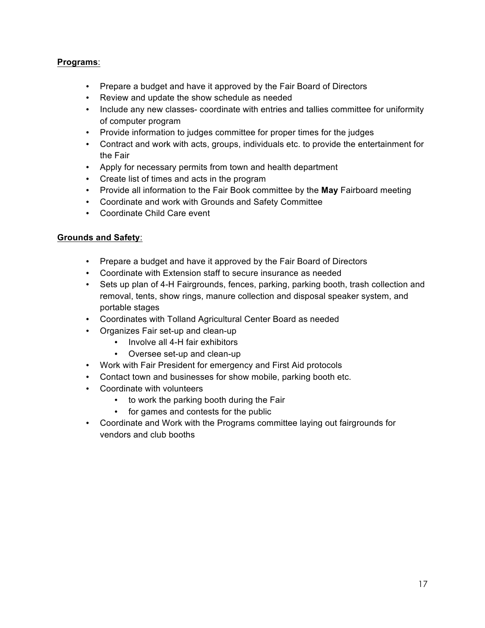#### **Programs**:

- Prepare a budget and have it approved by the Fair Board of Directors
- Review and update the show schedule as needed
- Include any new classes- coordinate with entries and tallies committee for uniformity of computer program
- Provide information to judges committee for proper times for the judges
- Contract and work with acts, groups, individuals etc. to provide the entertainment for the Fair
- Apply for necessary permits from town and health department
- Create list of times and acts in the program
- Provide all information to the Fair Book committee by the **May** Fairboard meeting
- Coordinate and work with Grounds and Safety Committee
- Coordinate Child Care event

#### **Grounds and Safety**:

- Prepare a budget and have it approved by the Fair Board of Directors
- Coordinate with Extension staff to secure insurance as needed
- Sets up plan of 4-H Fairgrounds, fences, parking, parking booth, trash collection and removal, tents, show rings, manure collection and disposal speaker system, and portable stages
- Coordinates with Tolland Agricultural Center Board as needed
- Organizes Fair set-up and clean-up
	- Involve all 4-H fair exhibitors
	- Oversee set-up and clean-up
- Work with Fair President for emergency and First Aid protocols
- Contact town and businesses for show mobile, parking booth etc.
- Coordinate with volunteers
	- to work the parking booth during the Fair
	- for games and contests for the public
- Coordinate and Work with the Programs committee laying out fairgrounds for vendors and club booths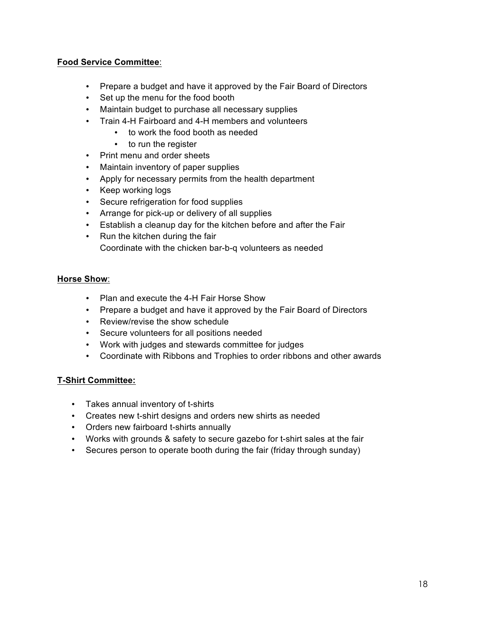#### **Food Service Committee**:

- Prepare a budget and have it approved by the Fair Board of Directors
- Set up the menu for the food booth
- Maintain budget to purchase all necessary supplies
- Train 4-H Fairboard and 4-H members and volunteers
	- to work the food booth as needed
	- to run the register
- Print menu and order sheets
- Maintain inventory of paper supplies
- Apply for necessary permits from the health department
- Keep working logs
- Secure refrigeration for food supplies
- Arrange for pick-up or delivery of all supplies
- Establish a cleanup day for the kitchen before and after the Fair
- Run the kitchen during the fair Coordinate with the chicken bar-b-q volunteers as needed

#### **Horse Show**:

- Plan and execute the 4-H Fair Horse Show
- Prepare a budget and have it approved by the Fair Board of Directors
- Review/revise the show schedule
- Secure volunteers for all positions needed
- Work with judges and stewards committee for judges
- Coordinate with Ribbons and Trophies to order ribbons and other awards

#### **T-Shirt Committee:**

- Takes annual inventory of t-shirts
- Creates new t-shirt designs and orders new shirts as needed
- Orders new fairboard t-shirts annually
- Works with grounds & safety to secure gazebo for t-shirt sales at the fair
- Secures person to operate booth during the fair (friday through sunday)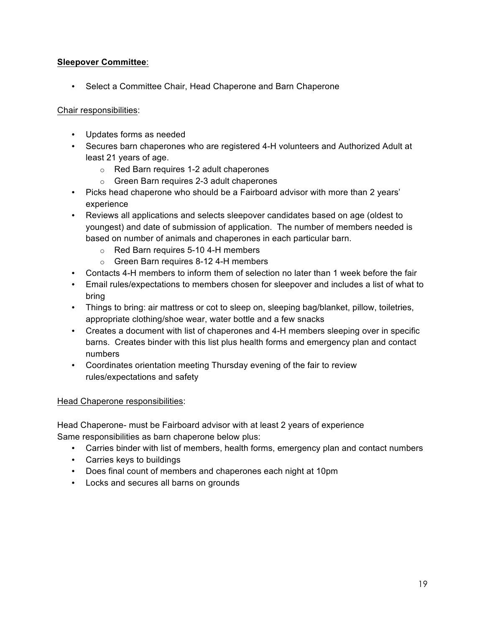## **Sleepover Committee**:

• Select a Committee Chair, Head Chaperone and Barn Chaperone

#### Chair responsibilities:

- Updates forms as needed
- Secures barn chaperones who are registered 4-H volunteers and Authorized Adult at least 21 years of age.
	- o Red Barn requires 1-2 adult chaperones
	- o Green Barn requires 2-3 adult chaperones
- Picks head chaperone who should be a Fairboard advisor with more than 2 years' experience
- Reviews all applications and selects sleepover candidates based on age (oldest to youngest) and date of submission of application. The number of members needed is based on number of animals and chaperones in each particular barn.
	- o Red Barn requires 5-10 4-H members
	- o Green Barn requires 8-12 4-H members
- Contacts 4-H members to inform them of selection no later than 1 week before the fair
- Email rules/expectations to members chosen for sleepover and includes a list of what to bring
- Things to bring: air mattress or cot to sleep on, sleeping bag/blanket, pillow, toiletries, appropriate clothing/shoe wear, water bottle and a few snacks
- Creates a document with list of chaperones and 4-H members sleeping over in specific barns. Creates binder with this list plus health forms and emergency plan and contact numbers
- Coordinates orientation meeting Thursday evening of the fair to review rules/expectations and safety

#### Head Chaperone responsibilities:

Head Chaperone- must be Fairboard advisor with at least 2 years of experience Same responsibilities as barn chaperone below plus:

- Carries binder with list of members, health forms, emergency plan and contact numbers
- Carries keys to buildings
- Does final count of members and chaperones each night at 10pm
- Locks and secures all barns on grounds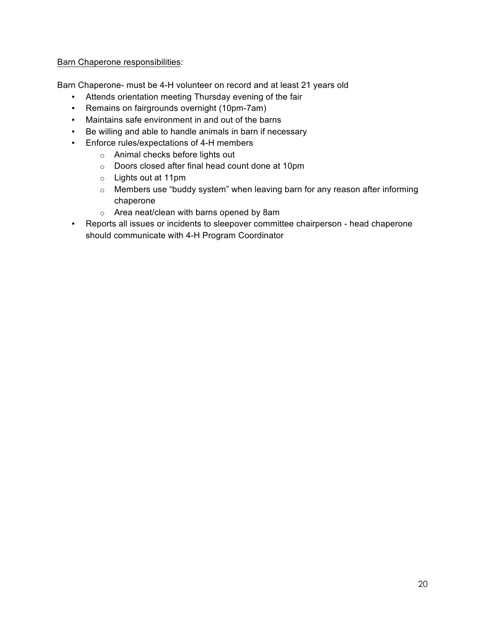#### Barn Chaperone responsibilities:

Barn Chaperone- must be 4-H volunteer on record and at least 21 years old

- Attends orientation meeting Thursday evening of the fair
- Remains on fairgrounds overnight (10pm-7am)
- Maintains safe environment in and out of the barns
- Be willing and able to handle animals in barn if necessary
- Enforce rules/expectations of 4-H members
	- o Animal checks before lights out
	- o Doors closed after final head count done at 10pm
	- o Lights out at 11pm
	- o Members use "buddy system" when leaving barn for any reason after informing chaperone
	- o Area neat/clean with barns opened by 8am
- Reports all issues or incidents to sleepover committee chairperson head chaperone should communicate with 4-H Program Coordinator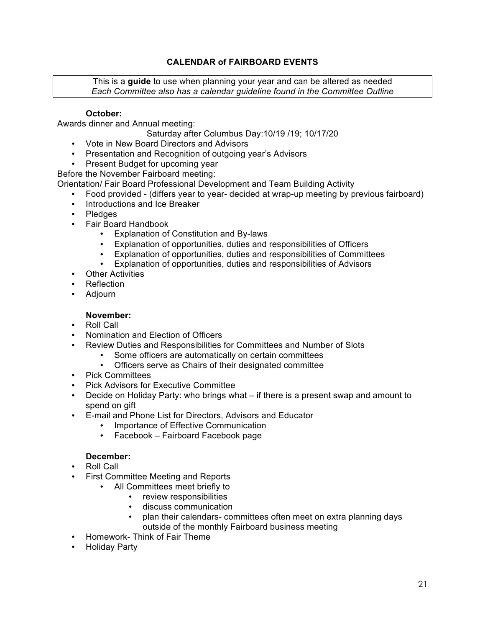## **CALENDAR of FAIRBOARD EVENTS**

This is a **guide** to use when planning your year and can be altered as needed *Each Committee also has a calendar guideline found in the Committee Outline*

#### **October:**

Awards dinner and Annual meeting:

Saturday after Columbus Day:10/19 /19; 10/17/20

- Vote in New Board Directors and Advisors
- Presentation and Recognition of outgoing year's Advisors
- Present Budget for upcoming year

Before the November Fairboard meeting:

Orientation/ Fair Board Professional Development and Team Building Activity

- Food provided (differs year to year- decided at wrap-up meeting by previous fairboard)
- Introductions and Ice Breaker
- Pledges
- Fair Board Handbook
	- Explanation of Constitution and By-laws<br>• Explanation of opportunities duties and
	- Explanation of opportunities, duties and responsibilities of Officers
	- Explanation of opportunities, duties and responsibilities of Committees<br>• Explanation of opportunities duties and responsibilities of Advisors
	- Explanation of opportunities, duties and responsibilities of Advisors
- Other Activities
- Reflection
- Adjourn
	- **November:**
- Roll Call
- Nomination and Election of Officers
- Review Duties and Responsibilities for Committees and Number of Slots
	- Some officers are automatically on certain committees<br>• Officers serve as Chairs of their designated committee
	- Officers serve as Chairs of their designated committee
- Pick Committees
- Pick Advisors for Executive Committee
- Decide on Holiday Party: who brings what if there is a present swap and amount to spend on gift
- E-mail and Phone List for Directors, Advisors and Educator
	- Importance of Effective Communication
	- Facebook Fairboard Facebook page

#### **December:**

- Roll Call
- First Committee Meeting and Reports
	- All Committees meet briefly to
		- review responsibilities
		- discuss communication
		- plan their calendars- committees often meet on extra planning days outside of the monthly Fairboard business meeting
- Homework- Think of Fair Theme
- Holiday Party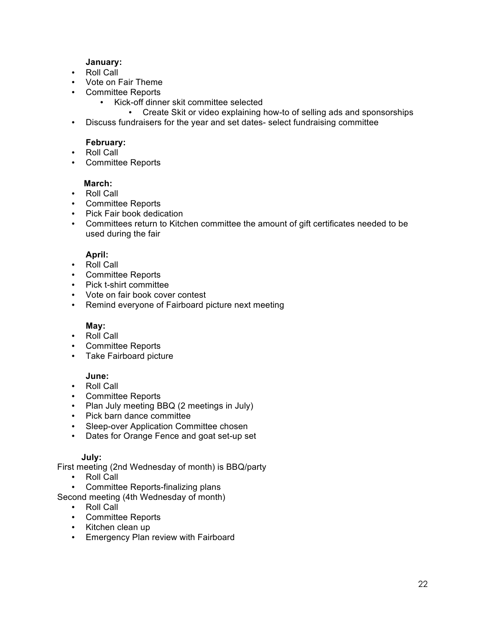#### **January:**

- Roll Call
- Vote on Fair Theme
- Committee Reports
	- Kick-off dinner skit committee selected
		- Create Skit or video explaining how-to of selling ads and sponsorships
- Discuss fundraisers for the year and set dates- select fundraising committee

#### **February:**

- Roll Call
- Committee Reports

#### **March:**

- Roll Call
- Committee Reports
- Pick Fair book dedication
- Committees return to Kitchen committee the amount of gift certificates needed to be used during the fair

## **April:**

- Roll Call
- Committee Reports
- Pick t-shirt committee
- Vote on fair book cover contest
- Remind everyone of Fairboard picture next meeting

## **May:**

- Roll Call
- Committee Reports
- Take Fairboard picture

#### **June:**

- Roll Call
- Committee Reports
- Plan July meeting BBQ (2 meetings in July)
- Pick barn dance committee
- Sleep-over Application Committee chosen
- Dates for Orange Fence and goat set-up set

#### **July:**

First meeting (2nd Wednesday of month) is BBQ/party

- Roll Call
- Committee Reports-finalizing plans
- Second meeting (4th Wednesday of month)
	- Roll Call
	- Committee Reports
	- Kitchen clean up
	- Emergency Plan review with Fairboard